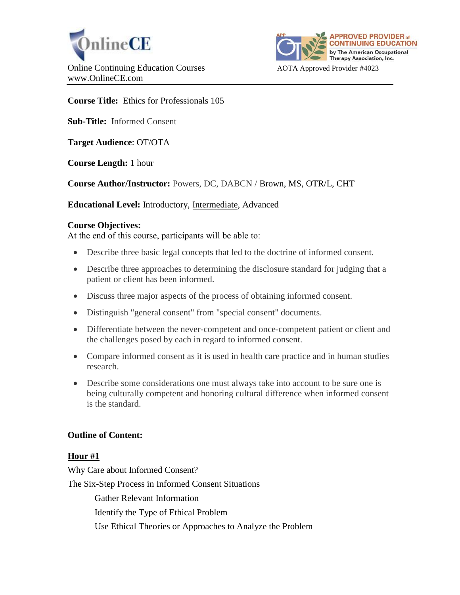



**Course Title:** Ethics for Professionals 105

**Sub-Title:** Informed Consent

**Target Audience**: OT/OTA

**Course Length:** 1 hour

**Course Author/Instructor:** Powers, DC, DABCN / Brown, MS, OTR/L, CHT

**Educational Level:** Introductory, Intermediate, Advanced

## **Course Objectives:**

At the end of this course, participants will be able to:

- Describe three basic legal concepts that led to the doctrine of informed consent.
- Describe three approaches to determining the disclosure standard for judging that a patient or client has been informed.
- Discuss three major aspects of the process of obtaining informed consent.
- Distinguish "general consent" from "special consent" documents.
- Differentiate between the never-competent and once-competent patient or client and the challenges posed by each in regard to informed consent.
- Compare informed consent as it is used in health care practice and in human studies research.
- Describe some considerations one must always take into account to be sure one is being culturally competent and honoring cultural difference when informed consent is the standard.

# **Outline of Content:**

# **Hour #1**

Why Care about Informed Consent? The Six-Step Process in Informed Consent Situations Gather Relevant Information Identify the Type of Ethical Problem Use Ethical Theories or Approaches to Analyze the Problem